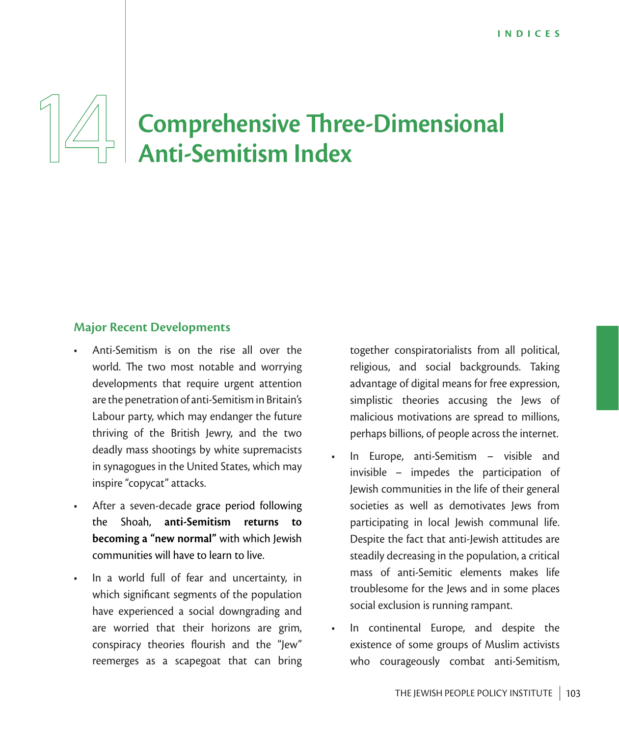# **Comprehensive Three-Dimensional Anti-Semitism Index**

### **Major Recent Developments**

- Anti-Semitism is on the rise all over the world. The two most notable and worrying developments that require urgent attention are the penetration of anti-Semitism in Britain's Labour party, which may endanger the future thriving of the British Jewry, and the two deadly mass shootings by white supremacists in synagogues in the United States, which may inspire "copycat" attacks.
- After a seven-decade grace period following the Shoah, **anti-Semitism returns to becoming a "new normal"** with which Jewish communities will have to learn to live.
- In a world full of fear and uncertainty, in which significant segments of the population have experienced a social downgrading and are worried that their horizons are grim, conspiracy theories flourish and the "Jew" reemerges as a scapegoat that can bring

together conspiratorialists from all political, religious, and social backgrounds. Taking advantage of digital means for free expression, simplistic theories accusing the Jews of malicious motivations are spread to millions, perhaps billions, of people across the internet.

- In Europe, anti-Semitism visible and invisible – impedes the participation of Jewish communities in the life of their general societies as well as demotivates Jews from participating in local Jewish communal life. Despite the fact that anti-Jewish attitudes are steadily decreasing in the population, a critical mass of anti-Semitic elements makes life troublesome for the Jews and in some places social exclusion is running rampant.
- In continental Europe, and despite the existence of some groups of Muslim activists who courageously combat anti-Semitism,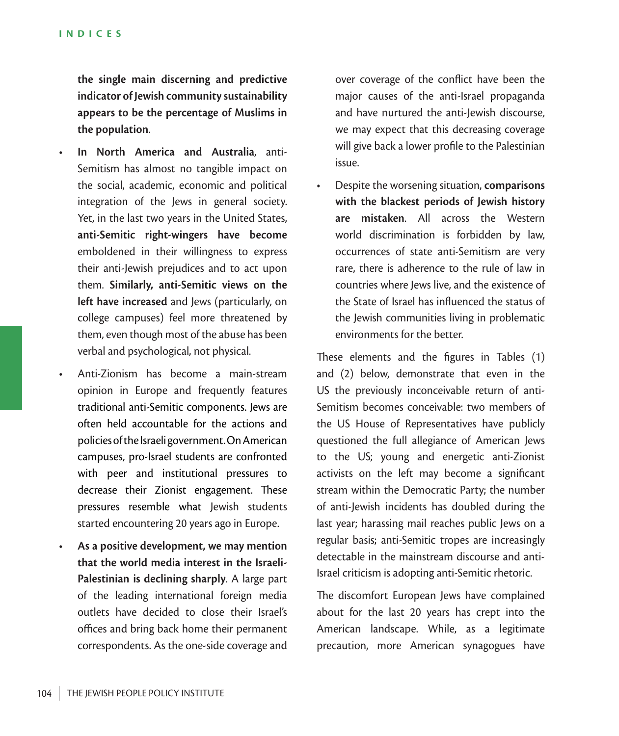**the single main discerning and predictive indicator of Jewish community sustainability appears to be the percentage of Muslims in the population**.

- **In North America and Australia**, anti-Semitism has almost no tangible impact on the social, academic, economic and political integration of the Jews in general society. Yet, in the last two years in the United States, **anti-Semitic right-wingers have become** emboldened in their willingness to express their anti-Jewish prejudices and to act upon them. **Similarly, anti-Semitic views on the left have increased** and Jews (particularly, on college campuses) feel more threatened by them, even though most of the abuse has been verbal and psychological, not physical.
- Anti-Zionism has become a main-stream opinion in Europe and frequently features traditional anti-Semitic components. Jews are often held accountable for the actions and policies of the Israeli government. On American campuses, pro-Israel students are confronted with peer and institutional pressures to decrease their Zionist engagement. These pressures resemble what Jewish students started encountering 20 years ago in Europe.
- **As a positive development, we may mention that the world media interest in the Israeli-Palestinian is declining sharply**. A large part of the leading international foreign media outlets have decided to close their Israel's offices and bring back home their permanent correspondents. As the one-side coverage and

over coverage of the conflict have been the major causes of the anti-Israel propaganda and have nurtured the anti-Jewish discourse, we may expect that this decreasing coverage will give back a lower profile to the Palestinian issue.

• Despite the worsening situation, **comparisons with the blackest periods of Jewish history are mistaken**. All across the Western world discrimination is forbidden by law, occurrences of state anti-Semitism are very rare, there is adherence to the rule of law in countries where Jews live, and the existence of the State of Israel has influenced the status of the Jewish communities living in problematic environments for the better.

These elements and the figures in Tables (1) and (2) below, demonstrate that even in the US the previously inconceivable return of anti-Semitism becomes conceivable: two members of the US House of Representatives have publicly questioned the full allegiance of American Jews to the US; young and energetic anti-Zionist activists on the left may become a significant stream within the Democratic Party; the number of anti-Jewish incidents has doubled during the last year; harassing mail reaches public Jews on a regular basis; anti-Semitic tropes are increasingly detectable in the mainstream discourse and anti-Israel criticism is adopting anti-Semitic rhetoric.

The discomfort European Jews have complained about for the last 20 years has crept into the American landscape. While, as a legitimate precaution, more American synagogues have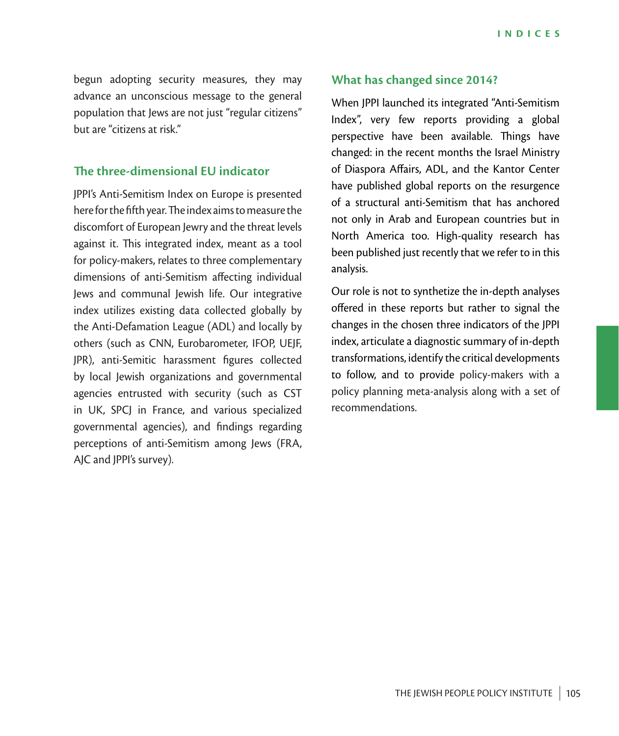begun adopting security measures, they may advance an unconscious message to the general population that Jews are not just "regular citizens" but are "citizens at risk."

### **The three-dimensional EU indicator**

JPPI's Anti-Semitism Index on Europe is presented here for the fifth year. The index aims to measure the discomfort of European Jewry and the threat levels against it. This integrated index, meant as a tool for policy-makers, relates to three complementary dimensions of anti-Semitism affecting individual Jews and communal Jewish life. Our integrative index utilizes existing data collected globally by the Anti-Defamation League (ADL) and locally by others (such as CNN, Eurobarometer, IFOP, UEJF, JPR), anti-Semitic harassment figures collected by local Jewish organizations and governmental agencies entrusted with security (such as CST in UK, SPCJ in France, and various specialized governmental agencies), and findings regarding perceptions of anti-Semitism among Jews (FRA, AJC and JPPI's survey).

### **What has changed since 2014?**

When JPPI launched its integrated "Anti-Semitism Index", very few reports providing a global perspective have been available. Things have changed: in the recent months the Israel Ministry of Diaspora Affairs, ADL, and the Kantor Center have published global reports on the resurgence of a structural anti-Semitism that has anchored not only in Arab and European countries but in North America too. High-quality research has been published just recently that we refer to in this analysis.

Our role is not to synthetize the in-depth analyses offered in these reports but rather to signal the changes in the chosen three indicators of the JPPI index, articulate a diagnostic summary of in-depth transformations, identify the critical developments to follow, and to provide policy-makers with a policy planning meta-analysis along with a set of recommendations.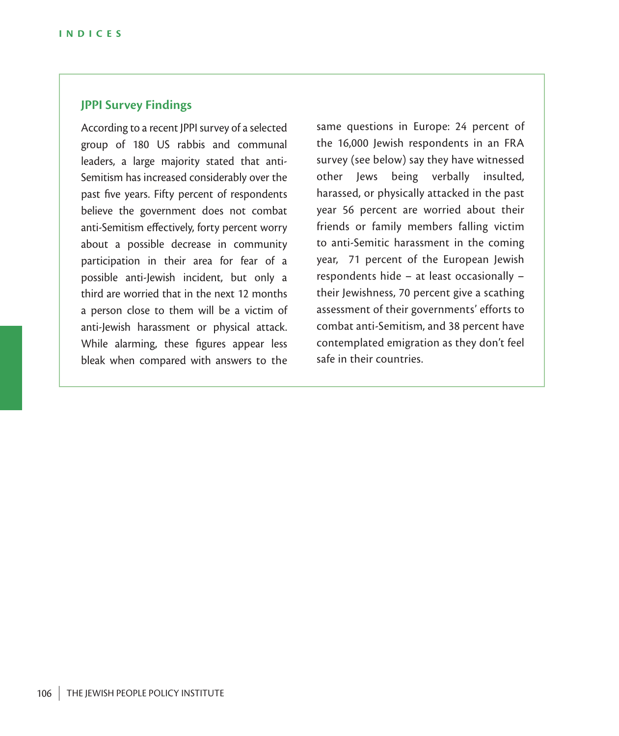### **JPPI Survey Findings**

According to a recent JPPI survey of a selected group of 180 US rabbis and communal leaders, a large majority stated that anti-Semitism has increased considerably over the past five years. Fifty percent of respondents believe the government does not combat anti-Semitism effectively, forty percent worry about a possible decrease in community participation in their area for fear of a possible anti-Jewish incident, but only a third are worried that in the next 12 months a person close to them will be a victim of anti-Jewish harassment or physical attack. While alarming, these figures appear less bleak when compared with answers to the same questions in Europe: 24 percent of the 16,000 Jewish respondents in an FRA survey (see below) say they have witnessed other Jews being verbally insulted, harassed, or physically attacked in the past year 56 percent are worried about their friends or family members falling victim to anti-Semitic harassment in the coming year, 71 percent of the European Jewish respondents hide – at least occasionally – their Jewishness, 70 percent give a scathing assessment of their governments' efforts to combat anti-Semitism, and 38 percent have contemplated emigration as they don't feel safe in their countries.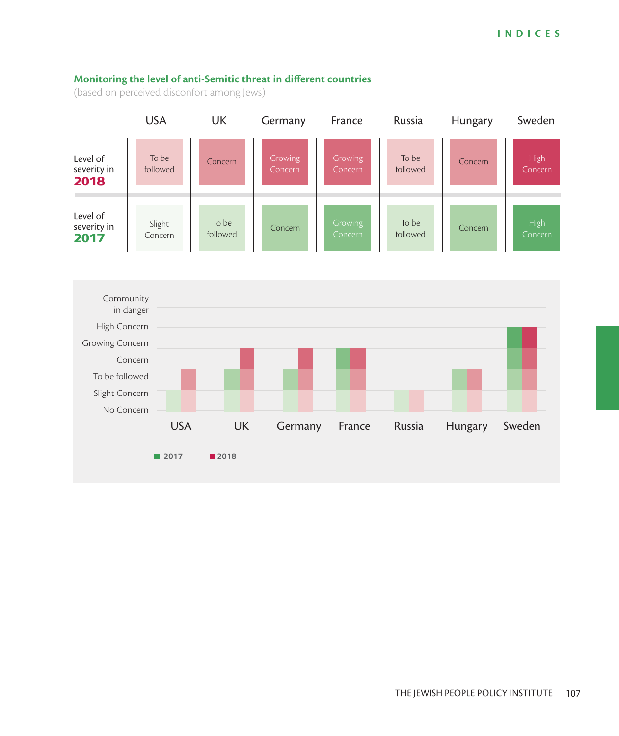#### **Monitoring the level of anti-Semitic threat in different countries**

(based on perceived disconfort among Jews)



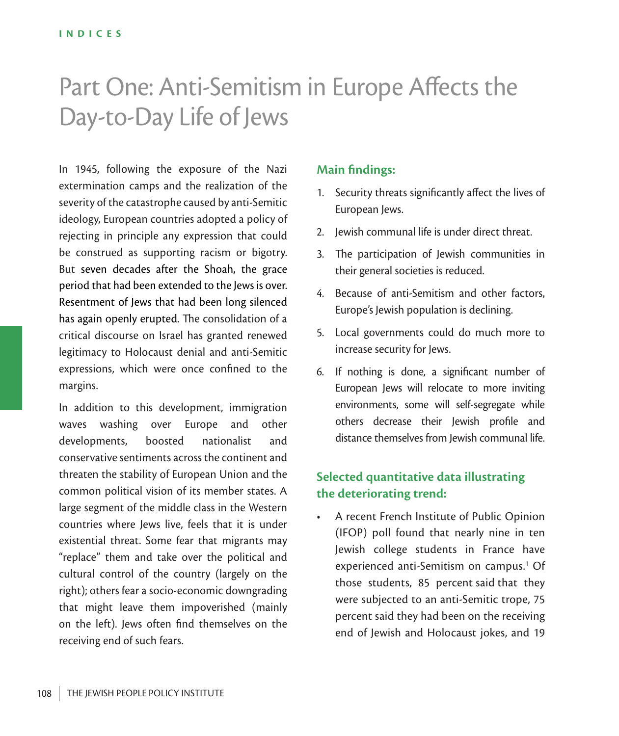# Part One: Anti-Semitism in Europe Affects the Day-to-Day Life of Jews

In 1945, following the exposure of the Nazi extermination camps and the realization of the severity of the catastrophe caused by anti-Semitic ideology, European countries adopted a policy of rejecting in principle any expression that could be construed as supporting racism or bigotry. But seven decades after the Shoah, the grace period that had been extended to the Jews is over. Resentment of Jews that had been long silenced has again openly erupted. The consolidation of a critical discourse on Israel has granted renewed legitimacy to Holocaust denial and anti-Semitic expressions, which were once confined to the margins.

In addition to this development, immigration waves washing over Europe and other developments, boosted nationalist and conservative sentiments across the continent and threaten the stability of European Union and the common political vision of its member states. A large segment of the middle class in the Western countries where Jews live, feels that it is under existential threat. Some fear that migrants may "replace" them and take over the political and cultural control of the country (largely on the right); others fear a socio-economic downgrading that might leave them impoverished (mainly on the left). Jews often find themselves on the receiving end of such fears.

### **Main findings:**

- 1. Security threats significantly affect the lives of European Jews.
- 2. Jewish communal life is under direct threat.
- 3. The participation of Jewish communities in their general societies is reduced.
- 4. Because of anti-Semitism and other factors, Europe's Jewish population is declining.
- 5. Local governments could do much more to increase security for Jews.
- 6. If nothing is done, a significant number of European Jews will relocate to more inviting environments, some will self-segregate while others decrease their Jewish profile and distance themselves from Jewish communal life.

## **Selected quantitative data illustrating the deteriorating trend:**

• A recent French Institute of Public Opinion (IFOP) poll found that nearly nine in ten Jewish college students in France have experienced anti-Semitism on campus.<sup>1</sup> Of those students, 85 percent said that they were subjected to an anti-Semitic trope, 75 percent said they had been on the receiving end of Jewish and Holocaust jokes, and 19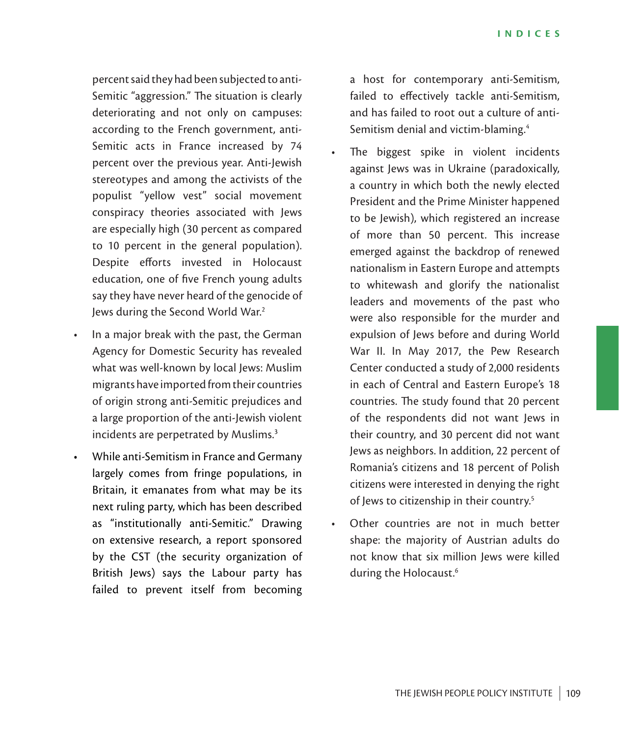percent said they had been subjected to anti-Semitic "aggression." The situation is clearly deteriorating and not only on campuses: according to the French government, anti-Semitic acts in France increased by 74 percent over the previous year. Anti-Jewish stereotypes and among the activists of the populist "yellow vest" social movement conspiracy theories associated with Jews are especially high (30 percent as compared to 10 percent in the general population). Despite efforts invested in Holocaust education, one of five French young adults say they have never heard of the genocide of Jews during the Second World War.2

- In a major break with the past, the German Agency for Domestic Security has revealed what was well-known by local Jews: Muslim migrants have imported from their countries of origin strong anti-Semitic prejudices and a large proportion of the anti-Jewish violent incidents are perpetrated by Muslims.<sup>3</sup>
- While anti-Semitism in France and Germany largely comes from fringe populations, in Britain, it emanates from what may be its next ruling party, which has been described as "institutionally anti-Semitic." Drawing on extensive research, a report sponsored by the CST (the security organization of British Jews) says the Labour party has failed to prevent itself from becoming

a host for contemporary anti-Semitism, failed to effectively tackle anti-Semitism, and has failed to root out a culture of anti-Semitism denial and victim-blaming.4

- The biggest spike in violent incidents against Jews was in Ukraine (paradoxically, a country in which both the newly elected President and the Prime Minister happened to be Jewish), which registered an increase of more than 50 percent. This increase emerged against the backdrop of renewed nationalism in Eastern Europe and attempts to whitewash and glorify the nationalist leaders and movements of the past who were also responsible for the murder and expulsion of Jews before and during World War II. In May 2017, the Pew Research Center conducted a study of 2,000 residents in each of Central and Eastern Europe's 18 countries. The study found that 20 percent of the respondents did not want Jews in their country, and 30 percent did not want Jews as neighbors. In addition, 22 percent of Romania's citizens and 18 percent of Polish citizens were interested in denying the right of Jews to citizenship in their country.<sup>5</sup>
- Other countries are not in much better shape: the majority of Austrian adults do not know that six million Jews were killed during the Holocaust.6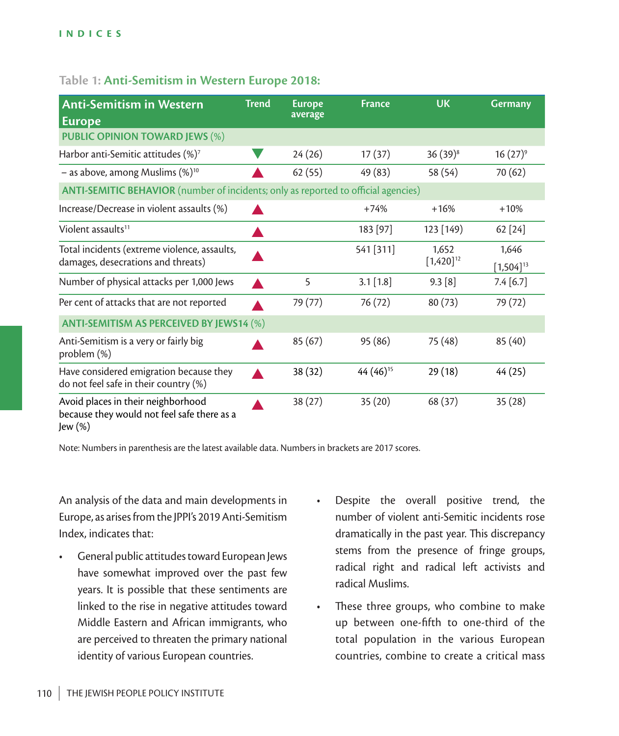### **Table 1: Anti-Semitism in Western Europe 2018:**

| <b>Anti-Semitism in Western</b><br><b>Europe</b>                                             | <b>Trend</b> | <b>Europe</b><br>average | <b>France</b>         | <b>UK</b>               | <b>Germany</b>          |  |  |  |  |
|----------------------------------------------------------------------------------------------|--------------|--------------------------|-----------------------|-------------------------|-------------------------|--|--|--|--|
| <b>PUBLIC OPINION TOWARD JEWS (%)</b>                                                        |              |                          |                       |                         |                         |  |  |  |  |
| Harbor anti-Semitic attitudes $(\%)^7$                                                       |              | 24(26)                   | 17(37)                | $36(39)^8$              | $16(27)^9$              |  |  |  |  |
| - as above, among Muslims $(\%)^{10}$                                                        |              | 62(55)                   | 49 (83)               | 58 (54)                 | 70 (62)                 |  |  |  |  |
| ANTI-SEMITIC BEHAVIOR (number of incidents; only as reported to official agencies)           |              |                          |                       |                         |                         |  |  |  |  |
| Increase/Decrease in violent assaults (%)                                                    |              |                          | $+74%$                | $+16%$                  | $+10%$                  |  |  |  |  |
| Violent assaults <sup>11</sup>                                                               | ▲            |                          | 183 [97]              | 123 [149)               | 62 [24]                 |  |  |  |  |
| Total incidents (extreme violence, assaults,<br>damages, desecrations and threats)           |              |                          | 541 [311]             | 1,652<br>$[1,420]^{12}$ | 1,646<br>$[1,504]^{13}$ |  |  |  |  |
| Number of physical attacks per 1,000 Jews                                                    |              | 5                        | $3.1$ [1.8]           | 9.3 [8]                 | 7.4 [6.7]               |  |  |  |  |
| Per cent of attacks that are not reported                                                    |              | 79 (77)                  | 76 (72)               | 80(73)                  | 79 (72)                 |  |  |  |  |
| <b>ANTI-SEMITISM AS PERCEIVED BY JEWS14 (%)</b>                                              |              |                          |                       |                         |                         |  |  |  |  |
| Anti-Semitism is a very or fairly big<br>problem (%)                                         |              | 85(67)                   | 95 (86)               | 75 (48)                 | 85 (40)                 |  |  |  |  |
| Have considered emigration because they<br>do not feel safe in their country (%)             |              | 38 (32)                  | 44 (46) <sup>15</sup> | 29(18)                  | 44 (25)                 |  |  |  |  |
| Avoid places in their neighborhood<br>because they would not feel safe there as a<br>Jew (%) |              | 38(27)                   | 35(20)                | 68 (37)                 | 35(28)                  |  |  |  |  |

Note: Numbers in parenthesis are the latest available data. Numbers in brackets are 2017 scores.

An analysis of the data and main developments in Europe, as arises from the JPPI's 2019 Anti-Semitism Index, indicates that:

- General public attitudes toward European Jews have somewhat improved over the past few years. It is possible that these sentiments are linked to the rise in negative attitudes toward Middle Eastern and African immigrants, who are perceived to threaten the primary national identity of various European countries.
- Despite the overall positive trend, the number of violent anti-Semitic incidents rose dramatically in the past year. This discrepancy stems from the presence of fringe groups, radical right and radical left activists and radical Muslims.
- These three groups, who combine to make up between one-fifth to one-third of the total population in the various European countries, combine to create a critical mass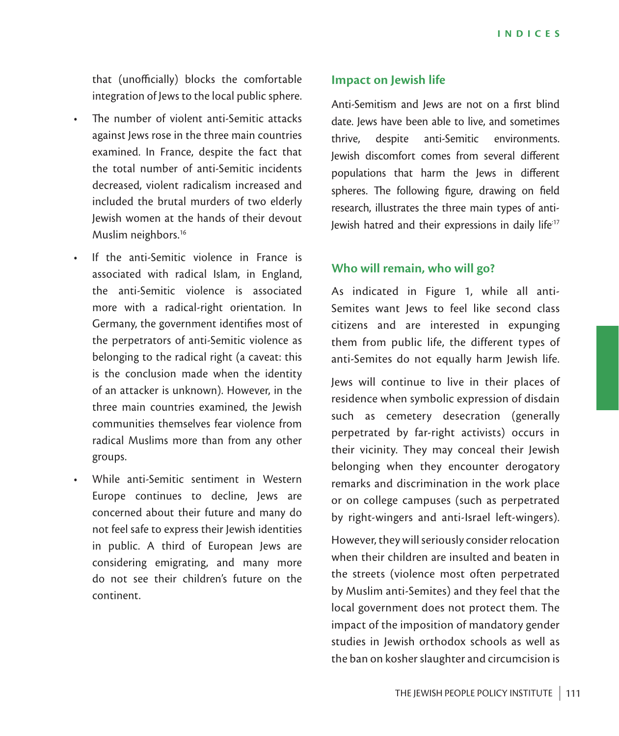that (unofficially) blocks the comfortable integration of Jews to the local public sphere.

- The number of violent anti-Semitic attacks against Jews rose in the three main countries examined. In France, despite the fact that the total number of anti-Semitic incidents decreased, violent radicalism increased and included the brutal murders of two elderly Jewish women at the hands of their devout Muslim neighbors.<sup>16</sup>
- If the anti-Semitic violence in France is associated with radical Islam, in England, the anti-Semitic violence is associated more with a radical-right orientation. In Germany, the government identifies most of the perpetrators of anti-Semitic violence as belonging to the radical right (a caveat: this is the conclusion made when the identity of an attacker is unknown). However, in the three main countries examined, the Jewish communities themselves fear violence from radical Muslims more than from any other groups.
- While anti-Semitic sentiment in Western Europe continues to decline, Jews are concerned about their future and many do not feel safe to express their Jewish identities in public. A third of European Jews are considering emigrating, and many more do not see their children's future on the continent.

### **Impact on Jewish life**

Anti-Semitism and Jews are not on a first blind date. Jews have been able to live, and sometimes thrive, despite anti-Semitic environments. Jewish discomfort comes from several different populations that harm the Jews in different spheres. The following figure, drawing on field research, illustrates the three main types of anti-Jewish hatred and their expressions in daily life<sup>17</sup>

### **Who will remain, who will go?**

As indicated in Figure 1, while all anti-Semites want Jews to feel like second class citizens and are interested in expunging them from public life, the different types of anti-Semites do not equally harm Jewish life.

Jews will continue to live in their places of residence when symbolic expression of disdain such as cemetery desecration (generally perpetrated by far-right activists) occurs in their vicinity. They may conceal their Jewish belonging when they encounter derogatory remarks and discrimination in the work place or on college campuses (such as perpetrated by right-wingers and anti-Israel left-wingers).

However, they will seriously consider relocation when their children are insulted and beaten in the streets (violence most often perpetrated by Muslim anti-Semites) and they feel that the local government does not protect them. The impact of the imposition of mandatory gender studies in Jewish orthodox schools as well as the ban on kosher slaughter and circumcision is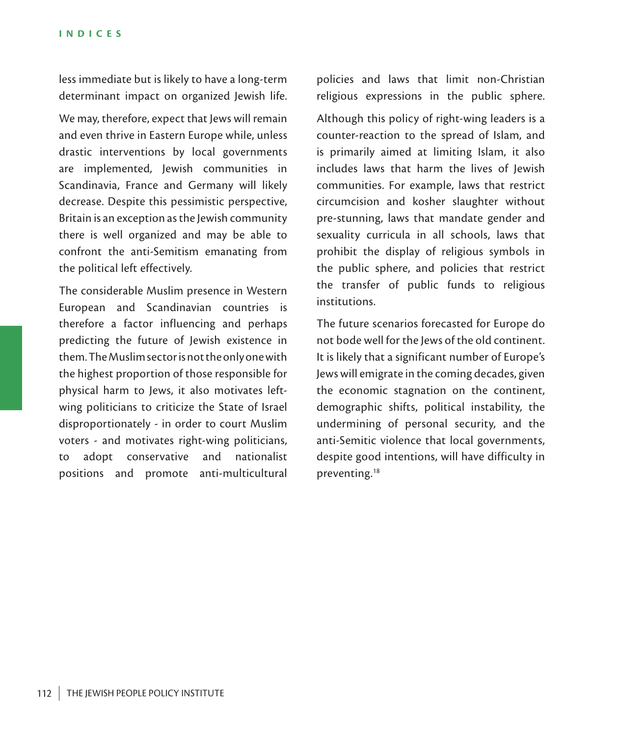less immediate but is likely to have a long-term determinant impact on organized Jewish life.

We may, therefore, expect that Jews will remain and even thrive in Eastern Europe while, unless drastic interventions by local governments are implemented, Jewish communities in Scandinavia, France and Germany will likely decrease. Despite this pessimistic perspective, Britain is an exception as the Jewish community there is well organized and may be able to confront the anti-Semitism emanating from the political left effectively.

The considerable Muslim presence in Western European and Scandinavian countries is therefore a factor influencing and perhaps predicting the future of Jewish existence in them. The Muslim sector is not the only one with the highest proportion of those responsible for physical harm to Jews, it also motivates leftwing politicians to criticize the State of Israel disproportionately - in order to court Muslim voters - and motivates right-wing politicians, to adopt conservative and nationalist positions and promote anti-multicultural policies and laws that limit non-Christian religious expressions in the public sphere. Although this policy of right-wing leaders is a counter-reaction to the spread of Islam, and is primarily aimed at limiting Islam, it also includes laws that harm the lives of Jewish communities. For example, laws that restrict circumcision and kosher slaughter without pre-stunning, laws that mandate gender and sexuality curricula in all schools, laws that prohibit the display of religious symbols in the public sphere, and policies that restrict the transfer of public funds to religious

The future scenarios forecasted for Europe do not bode well for the Jews of the old continent. It is likely that a significant number of Europe's Jews will emigrate in the coming decades, given the economic stagnation on the continent, demographic shifts, political instability, the undermining of personal security, and the anti-Semitic violence that local governments, despite good intentions, will have difficulty in preventing.18

institutions.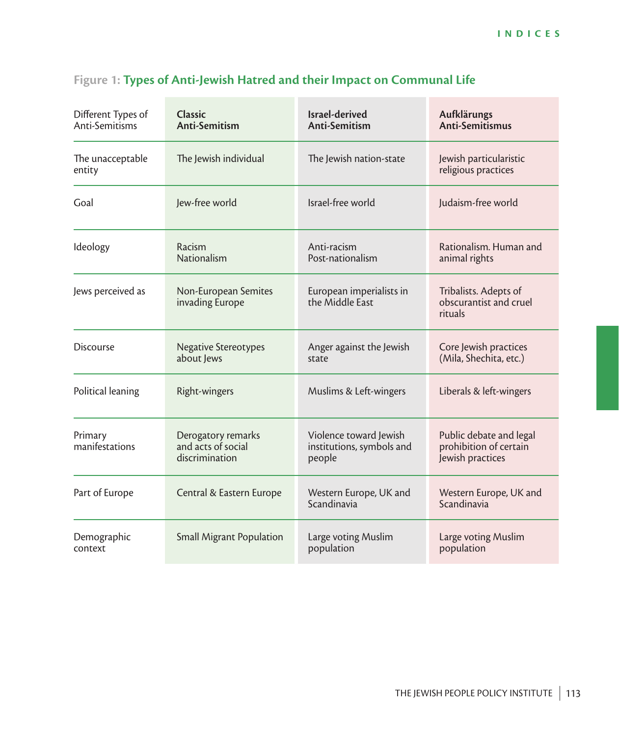| Different Types of<br>Anti-Semitisms | <b>Classic</b><br>Anti-Semitism                            | Israel-derived<br>Anti-Semitism                                                | Aufklärungs<br>Anti-Semitismus                                        |  |
|--------------------------------------|------------------------------------------------------------|--------------------------------------------------------------------------------|-----------------------------------------------------------------------|--|
| The unacceptable<br>entity           | The Jewish individual                                      | The Jewish nation-state                                                        | Jewish particularistic<br>religious practices                         |  |
| Goal                                 | lew-free world                                             | Israel-free world                                                              | Judaism-free world                                                    |  |
| Ideology                             | Racism<br><b>Nationalism</b>                               | Anti-racism<br>Post-nationalism                                                | Rationalism. Human and<br>animal rights                               |  |
| Jews perceived as                    | Non-European Semites<br>invading Europe                    | European imperialists in<br>the Middle East                                    | Tribalists. Adepts of<br>obscurantist and cruel<br>rituals            |  |
| <b>Discourse</b>                     | <b>Negative Stereotypes</b><br>about Jews                  | Anger against the Jewish<br>state                                              | Core Jewish practices<br>(Mila, Shechita, etc.)                       |  |
| Political leaning                    | Right-wingers                                              | Muslims & Left-wingers                                                         | Liberals & left-wingers                                               |  |
| Primary<br>manifestations            | Derogatory remarks<br>and acts of social<br>discrimination | Violence toward Jewish<br>institutions, symbols and<br>people                  | Public debate and legal<br>prohibition of certain<br>Jewish practices |  |
| Part of Europe                       | Central & Eastern Europe                                   | Western Europe, UK and<br>Western Europe, UK and<br>Scandinavia<br>Scandinavia |                                                                       |  |
| Demographic<br>context               | <b>Small Migrant Population</b>                            | Large voting Muslim<br>population                                              | Large voting Muslim<br>population                                     |  |

# **Figure 1: Types of Anti-Jewish Hatred and their Impact on Communal Life**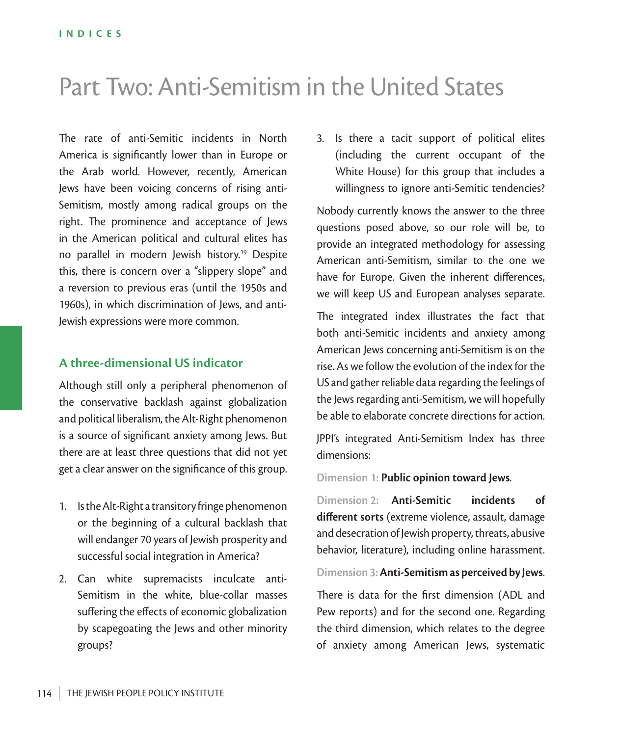# Part Two: Anti-Semitism in the United States

The rate of anti-Semitic incidents in North America is significantly lower than in Europe or the Arab world. However, recently, American Jews have been voicing concerns of rising anti-Semitism, mostly among radical groups on the right. The prominence and acceptance of Jews in the American political and cultural elites has no parallel in modern Jewish history.<sup>19</sup> Despite this, there is concern over a "slippery slope" and a reversion to previous eras (until the 1950s and 1960s), in which discrimination of Jews, and anti-Jewish expressions were more common.

### **A three-dimensional US indicator**

Although still only a peripheral phenomenon of the conservative backlash against globalization and political liberalism, the Alt-Right phenomenon is a source of significant anxiety among Jews. But there are at least three questions that did not yet get a clear answer on the significance of this group.

- 1. Is the Alt-Right a transitory fringe phenomenon or the beginning of a cultural backlash that will endanger 70 years of Jewish prosperity and successful social integration in America?
- 2. Can white supremacists inculcate anti-Semitism in the white, blue-collar masses suffering the effects of economic globalization by scapegoating the Jews and other minority groups?

3. Is there a tacit support of political elites (including the current occupant of the White House) for this group that includes a willingness to ignore anti-Semitic tendencies?

Nobody currently knows the answer to the three questions posed above, so our role will be, to provide an integrated methodology for assessing American anti-Semitism, similar to the one we have for Europe. Given the inherent differences, we will keep US and European analyses separate.

The integrated index illustrates the fact that both anti-Semitic incidents and anxiety among American Jews concerning anti-Semitism is on the rise. As we follow the evolution of the index for the US and gather reliable data regarding the feelings of the Jews regarding anti-Semitism, we will hopefully be able to elaborate concrete directions for action.

JPPI's integrated Anti-Semitism Index has three dimensions:

**Dimension 1: Public opinion toward Jews**.

**Dimension 2: Anti-Semitic incidents of different sorts** (extreme violence, assault, damage and desecration of Jewish property, threats, abusive behavior, literature), including online harassment.

#### **Dimension 3: Anti-Semitism as perceived by Jews**.

There is data for the first dimension (ADL and Pew reports) and for the second one. Regarding the third dimension, which relates to the degree of anxiety among American Jews, systematic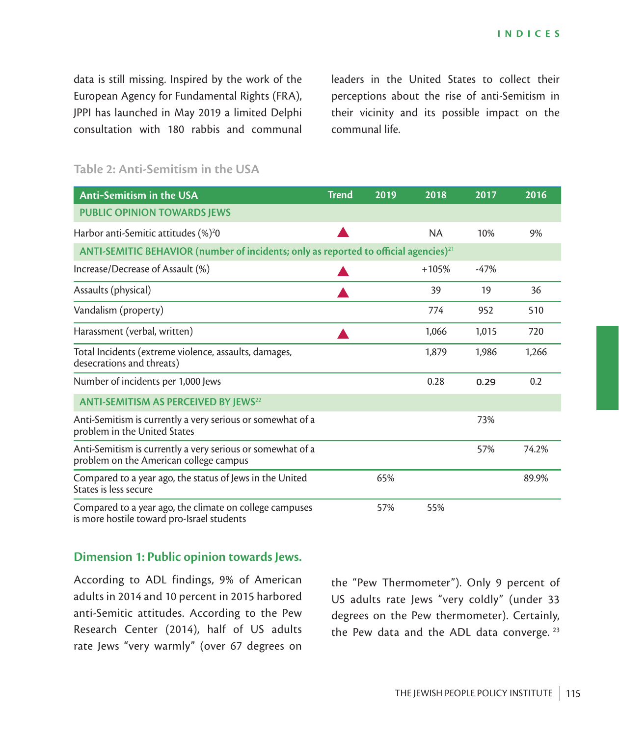data is still missing. Inspired by the work of the European Agency for Fundamental Rights (FRA), JPPI has launched in May 2019 a limited Delphi consultation with 180 rabbis and communal leaders in the United States to collect their perceptions about the rise of anti-Semitism in their vicinity and its possible impact on the communal life.

| <b>Anti-Semitism in the USA</b>                                                                       | <b>Trend</b> | 2019 | 2018      | 2017   | 2016  |  |  |
|-------------------------------------------------------------------------------------------------------|--------------|------|-----------|--------|-------|--|--|
| <b>PUBLIC OPINION TOWARDS JEWS</b>                                                                    |              |      |           |        |       |  |  |
| Harbor anti-Semitic attitudes (%) <sup>2</sup> 0                                                      |              |      | <b>NA</b> | 10%    | 9%    |  |  |
| ANTI-SEMITIC BEHAVIOR (number of incidents; only as reported to official agencies) <sup>21</sup>      |              |      |           |        |       |  |  |
| Increase/Decrease of Assault (%)                                                                      |              |      | $+105%$   | $-47%$ |       |  |  |
| Assaults (physical)                                                                                   |              |      | 39        | 19     | 36    |  |  |
| Vandalism (property)                                                                                  |              |      | 774       | 952    | 510   |  |  |
| Harassment (verbal, written)                                                                          |              |      | 1,066     | 1,015  | 720   |  |  |
| Total Incidents (extreme violence, assaults, damages,<br>desecrations and threats)                    |              |      | 1,879     | 1,986  | 1,266 |  |  |
| Number of incidents per 1,000 Jews                                                                    |              |      | 0.28      | 0.29   | 0.2   |  |  |
| <b>ANTI-SEMITISM AS PERCEIVED BY JEWS22</b>                                                           |              |      |           |        |       |  |  |
| Anti-Semitism is currently a very serious or somewhat of a<br>problem in the United States            |              |      |           | 73%    |       |  |  |
| Anti-Semitism is currently a very serious or somewhat of a<br>problem on the American college campus  |              |      |           | 57%    | 74.2% |  |  |
| Compared to a year ago, the status of Jews in the United<br>States is less secure                     |              | 65%  |           |        | 89.9% |  |  |
| Compared to a year ago, the climate on college campuses<br>is more hostile toward pro-Israel students |              | 57%  | 55%       |        |       |  |  |

### **Table 2: Anti-Semitism in the USA**

### **Dimension 1: Public opinion towards Jews.**

According to ADL findings, 9% of American adults in 2014 and 10 percent in 2015 harbored anti-Semitic attitudes. According to the Pew Research Center (2014), half of US adults rate Jews "very warmly" (over 67 degrees on

the "Pew Thermometer"). Only 9 percent of US adults rate Jews "very coldly" (under 33 degrees on the Pew thermometer). Certainly, the Pew data and the ADL data converge.  $23$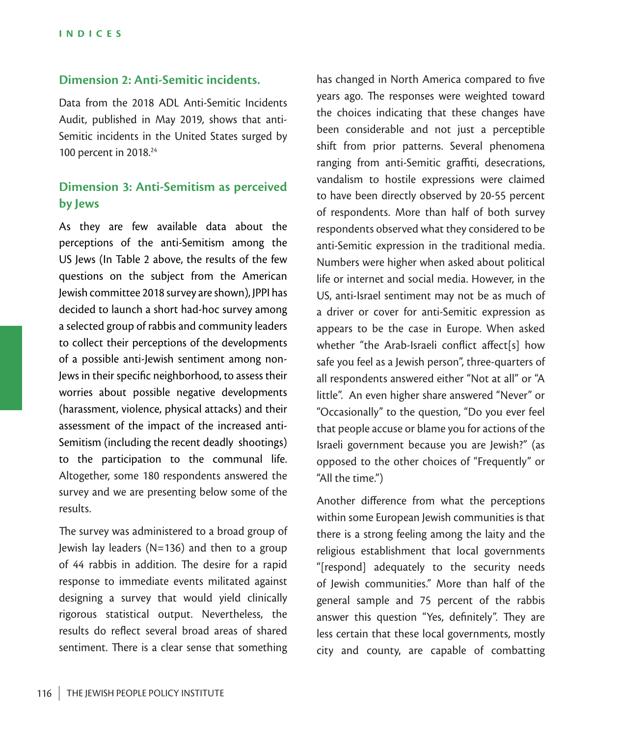### **Dimension 2: Anti-Semitic incidents.**

Data from the 2018 ADL Anti-Semitic Incidents Audit, published in May 2019, shows that anti-Semitic incidents in the United States surged by 100 percent in 2018.24

### **Dimension 3: Anti-Semitism as perceived by Jews**

As they are few available data about the perceptions of the anti-Semitism among the US Jews (In Table 2 above, the results of the few questions on the subject from the American Jewish committee 2018 survey are shown), JPPI has decided to launch a short had-hoc survey among a selected group of rabbis and community leaders to collect their perceptions of the developments of a possible anti-Jewish sentiment among non-Jews in their specific neighborhood, to assess their worries about possible negative developments (harassment, violence, physical attacks) and their assessment of the impact of the increased anti-Semitism (including the recent deadly shootings) to the participation to the communal life. Altogether, some 180 respondents answered the survey and we are presenting below some of the results.

The survey was administered to a broad group of Jewish lay leaders (N=136) and then to a group of 44 rabbis in addition. The desire for a rapid response to immediate events militated against designing a survey that would yield clinically rigorous statistical output. Nevertheless, the results do reflect several broad areas of shared sentiment. There is a clear sense that something

has changed in North America compared to five years ago. The responses were weighted toward the choices indicating that these changes have been considerable and not just a perceptible shift from prior patterns. Several phenomena ranging from anti-Semitic graffiti, desecrations, vandalism to hostile expressions were claimed to have been directly observed by 20-55 percent of respondents. More than half of both survey respondents observed what they considered to be anti-Semitic expression in the traditional media. Numbers were higher when asked about political life or internet and social media. However, in the US, anti-Israel sentiment may not be as much of a driver or cover for anti-Semitic expression as appears to be the case in Europe. When asked whether "the Arab-Israeli conflict affect[s] how safe you feel as a Jewish person", three-quarters of all respondents answered either "Not at all" or "A little". An even higher share answered "Never" or "Occasionally" to the question, "Do you ever feel that people accuse or blame you for actions of the Israeli government because you are Jewish?" (as opposed to the other choices of "Frequently" or "All the time.")

Another difference from what the perceptions within some European Jewish communities is that there is a strong feeling among the laity and the religious establishment that local governments "[respond] adequately to the security needs of Jewish communities." More than half of the general sample and 75 percent of the rabbis answer this question "Yes, definitely". They are less certain that these local governments, mostly city and county, are capable of combatting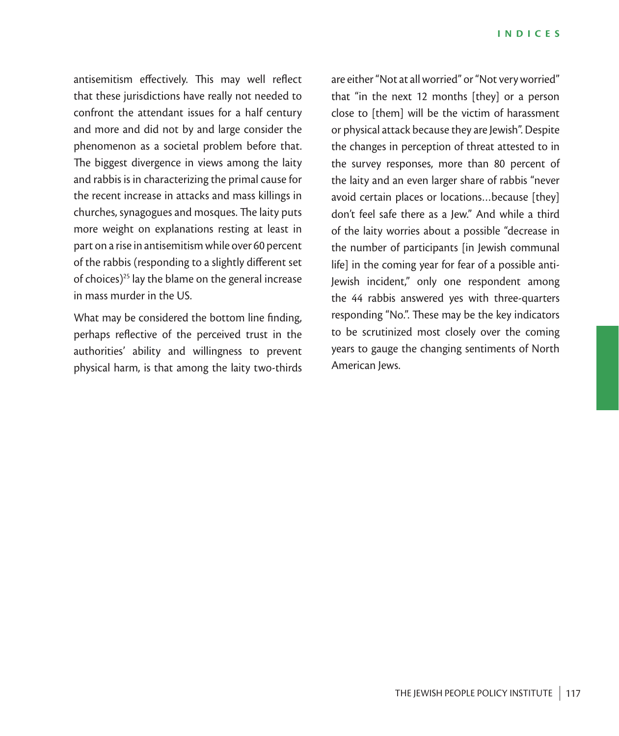antisemitism effectively. This may well reflect that these jurisdictions have really not needed to confront the attendant issues for a half century and more and did not by and large consider the phenomenon as a societal problem before that. The biggest divergence in views among the laity and rabbis is in characterizing the primal cause for the recent increase in attacks and mass killings in churches, synagogues and mosques. The laity puts more weight on explanations resting at least in part on a rise in antisemitism while over 60 percent of the rabbis (responding to a slightly different set of choices)<sup>25</sup> lay the blame on the general increase in mass murder in the US.

What may be considered the bottom line finding, perhaps reflective of the perceived trust in the authorities' ability and willingness to prevent physical harm, is that among the laity two-thirds

are either "Not at all worried" or "Not very worried" that "in the next 12 months [they] or a person close to [them] will be the victim of harassment or physical attack because they are Jewish". Despite the changes in perception of threat attested to in the survey responses, more than 80 percent of the laity and an even larger share of rabbis "never avoid certain places or locations…because [they] don't feel safe there as a Jew." And while a third of the laity worries about a possible "decrease in the number of participants [in Jewish communal life] in the coming year for fear of a possible anti-Jewish incident," only one respondent among the 44 rabbis answered yes with three-quarters responding "No.". These may be the key indicators to be scrutinized most closely over the coming years to gauge the changing sentiments of North American lews.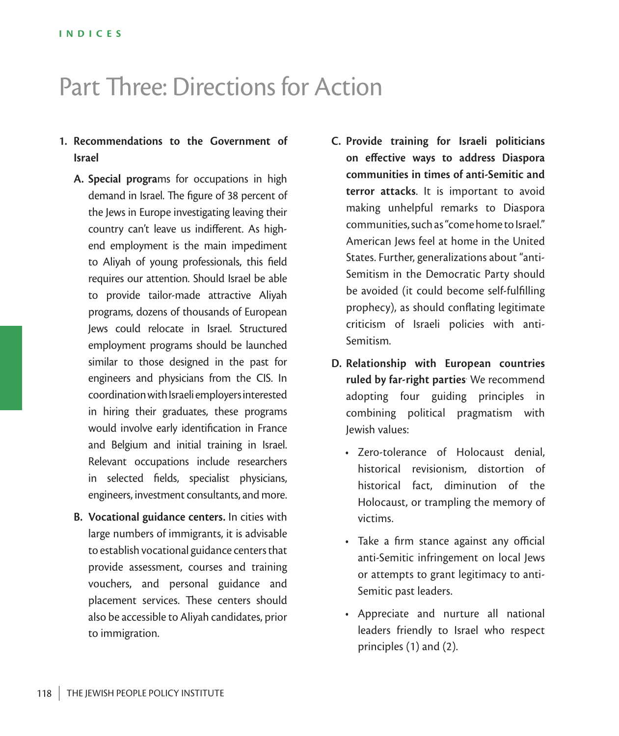# Part Three: Directions for Action

### **1. Recommendations to the Government of Israel**

- **A. Special progra**ms for occupations in high demand in Israel. The figure of 38 percent of the Jews in Europe investigating leaving their country can't leave us indifferent. As highend employment is the main impediment to Aliyah of young professionals, this field requires our attention. Should Israel be able to provide tailor-made attractive Aliyah programs, dozens of thousands of European Jews could relocate in Israel. Structured employment programs should be launched similar to those designed in the past for engineers and physicians from the CIS. In coordination with Israeli employers interested in hiring their graduates, these programs would involve early identification in France and Belgium and initial training in Israel. Relevant occupations include researchers in selected fields, specialist physicians, engineers, investment consultants, and more.
- **B. Vocational guidance centers.** In cities with large numbers of immigrants, it is advisable to establish vocational guidance centers that provide assessment, courses and training vouchers, and personal guidance and placement services. These centers should also be accessible to Aliyah candidates, prior to immigration.
- **C. Provide training for Israeli politicians on effective ways to address Diaspora communities in times of anti-Semitic and terror attacks**. It is important to avoid making unhelpful remarks to Diaspora communities, such as "come home to Israel." American Jews feel at home in the United States. Further, generalizations about "anti-Semitism in the Democratic Party should be avoided (it could become self-fulfilling prophecy), as should conflating legitimate criticism of Israeli policies with anti-Semitism.
- **D. Relationship with European countries ruled by far-right parties**. We recommend adopting four guiding principles in combining political pragmatism with Jewish values:
	- Zero-tolerance of Holocaust denial, historical revisionism, distortion of historical fact, diminution of the Holocaust, or trampling the memory of victims.
	- Take a firm stance against any official anti-Semitic infringement on local Jews or attempts to grant legitimacy to anti-Semitic past leaders.
	- Appreciate and nurture all national leaders friendly to Israel who respect principles (1) and (2).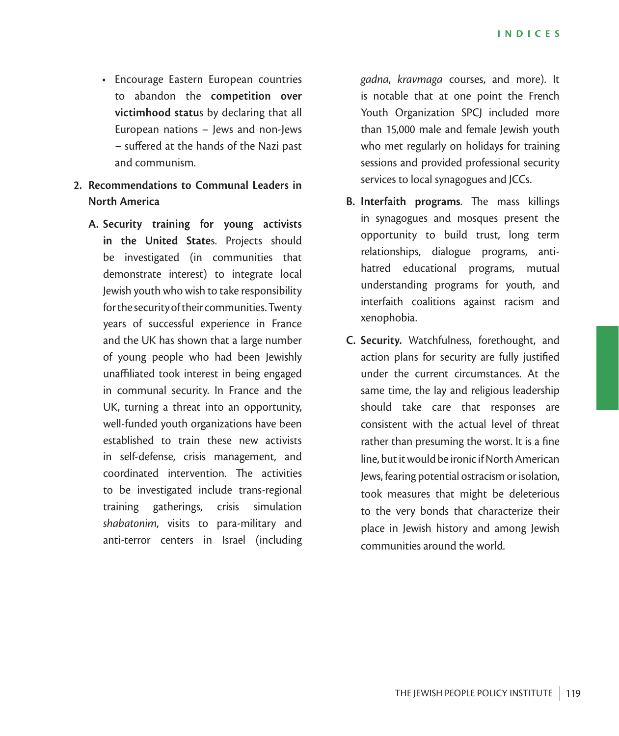- Encourage Eastern European countries to abandon the **competition over victimhood statu**s by declaring that all European nations – Jews and non-Jews – suffered at the hands of the Nazi past and communism.
- **2. Recommendations to Communal Leaders in North America** 
	- **A. Security training for young activists in the United State**s. Projects should be investigated (in communities that demonstrate interest) to integrate local Jewish youth who wish to take responsibility for the security of their communities. Twenty years of successful experience in France and the UK has shown that a large number of young people who had been Jewishly unaffiliated took interest in being engaged in communal security. In France and the UK, turning a threat into an opportunity, well-funded youth organizations have been established to train these new activists in self-defense, crisis management, and coordinated intervention. The activities to be investigated include trans-regional training gatherings, crisis simulation *shabatonim*, visits to para-military and anti-terror centers in Israel (including

*gadna*, *kravmaga* courses, and more). It is notable that at one point the French Youth Organization SPCJ included more than 15,000 male and female Jewish youth who met regularly on holidays for training sessions and provided professional security services to local synagogues and JCCs.

- **B. Interfaith programs**. The mass killings in synagogues and mosques present the opportunity to build trust, long term relationships, dialogue programs, antihatred educational programs, mutual understanding programs for youth, and interfaith coalitions against racism and xenophobia.
- **C. Security.** Watchfulness, forethought, and action plans for security are fully justified under the current circumstances. At the same time, the lay and religious leadership should take care that responses are consistent with the actual level of threat rather than presuming the worst. It is a fine line, but it would be ironic if North American Jews, fearing potential ostracism or isolation, took measures that might be deleterious to the very bonds that characterize their place in Jewish history and among Jewish communities around the world.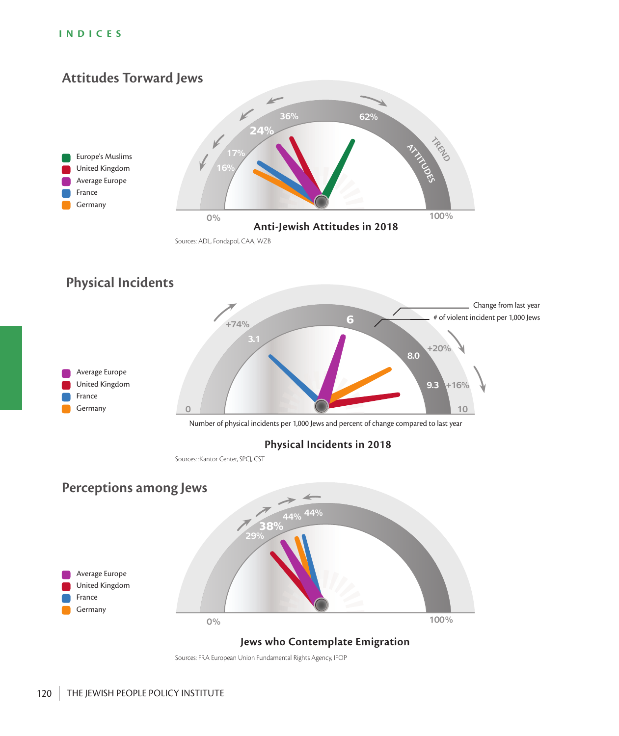#### **INDICES**



### **Jews who Contemplate Emigration**

Sources: FRA European Union Fundamental Rights Agency, IFOP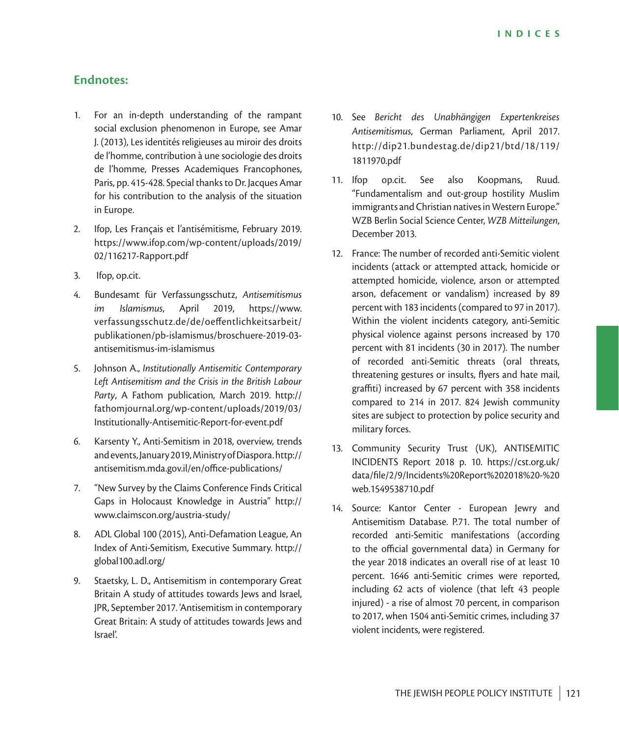### **Endnotes:**

- 1. For an in-depth understanding of the rampant social exclusion phenomenon in Europe, see Amar J. (2013), Les identités religieuses au miroir des droits de l'homme, contribution à une sociologie des droits de l'homme, Presses Academiques Francophones, Paris, pp. 415-428. Special thanks to Dr. Jacques Amar for his contribution to the analysis of the situation in Europe.
- 2. Ifop, Les Français et l'antisémitisme, February 2019. https://www.ifop.com/wp-content/uploads/2019/ 02/116217-Rapport.pdf
- 3. Ifop, op.cit.
- 4. Bundesamt für Verfassungsschutz, *Antisemitismus im Islamismus*, April 2019, https://www. verfassungsschutz.de/de/oeffentlichkeitsarbeit/ publikationen/pb-islamismus/broschuere-2019-03 antisemitismus-im-islamismus
- 5. Johnson A., *Institutionally Antisemitic Contemporary Left Antisemitism and the Crisis in the British Labour Party*, A Fathom publication, March 2019. http:// fathomjournal.org/wp-content/uploads/2019/03/ Institutionally-Antisemitic-Report-for-event.pdf
- 6. Karsenty Y., Anti-Semitism in 2018, overview, trends and events, January 2019, Ministry of Diaspora. http:// antisemitism.mda.gov.il/en/office-publications/
- 7. "New Survey by the Claims Conference Finds Critical Gaps in Holocaust Knowledge in Austria" http:// www.claimscon.org/austria-study/
- 8. ADL Global 100 (2015), Anti-Defamation League, An Index of Anti-Semitism, Executive Summary. http:// global100.adl.org/
- 9. Staetsky, L. D., Antisemitism in contemporary Great Britain A study of attitudes towards Jews and Israel, JPR, September 2017. 'Antisemitism in contemporary Great Britain: A study of attitudes towards Jews and Israel'.
- 10. See *Bericht des Unabhängigen Expertenkreises Antisemitismus*, German Parliament, April 2017. http://dip21.bundestag.de/dip21/btd/18/119/ 1811970.pdf
- 11. Ifop op.cit. See also Koopmans, Ruud. "Fundamentalism and out-group hostility Muslim immigrants and Christian natives in Western Europe." WZB Berlin Social Science Center, *WZB Mitteilungen*, December 2013.
- 12. France: The number of recorded anti-Semitic violent incidents (attack or attempted attack, homicide or attempted homicide, violence, arson or attempted arson, defacement or vandalism) increased by 89 percent with 183 incidents (compared to 97 in 2017). Within the violent incidents category, anti-Semitic physical violence against persons increased by 170 percent with 81 incidents (30 in 2017). The number of recorded anti-Semitic threats (oral threats, threatening gestures or insults, flyers and hate mail, graffiti) increased by 67 percent with 358 incidents compared to 214 in 2017. 824 Jewish community sites are subject to protection by police security and military forces.
- 13. Community Security Trust (UK), ANTISEMITIC INCIDENTS Report 2018 p. 10. https://cst.org.uk/ data/file/2/9/Incidents%20Report%202018%20-%20 web.1549538710.pdf
- 14. Source: Kantor Center European Jewry and Antisemitism Database. P.71. The total number of recorded anti-Semitic manifestations (according to the official governmental data) in Germany for the year 2018 indicates an overall rise of at least 10 percent. 1646 anti-Semitic crimes were reported, including 62 acts of violence (that left 43 people injured) - a rise of almost 70 percent, in comparison to 2017, when 1504 anti-Semitic crimes, including 37 violent incidents, were registered.